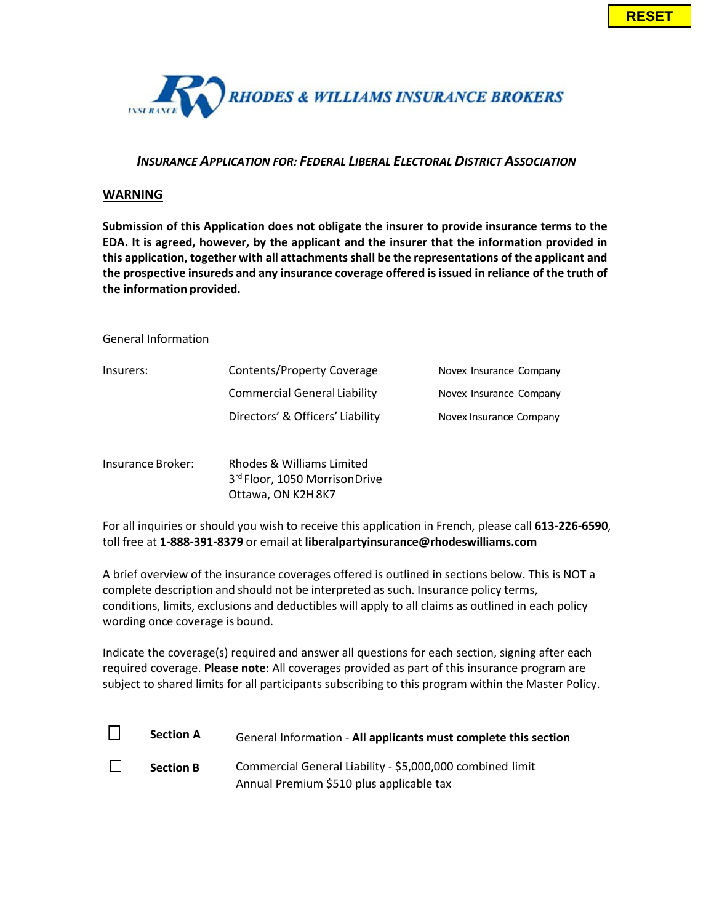

# *INSURANCE APPLICATION FOR: FEDERAL LIBERAL ELECTORAL DISTRICT ASSOCIATION*

## **WARNING**

**Submission of this Application does not obligate the insurer to provide insurance terms to the EDA. It is agreed, however, by the applicant and the insurer that the information provided in this application, together with all attachmentsshall be the representations of the applicant and the prospective insureds and any insurance coverage offered isissued in reliance of the truth of the information provided.**

#### General Information

| Insurers: | Contents/Property Coverage          | Novex Insurance Company |
|-----------|-------------------------------------|-------------------------|
|           | <b>Commercial General Liability</b> | Novex Insurance Company |
|           | Directors' & Officers' Liability    | Novex Insurance Company |
|           |                                     |                         |

Insurance Broker: Rhodes & Williams Limited 3<sup>rd</sup> Floor, 1050 MorrisonDrive Ottawa, ON K2H8K7

For all inquiries or should you wish to receive this application in French, please call **613-226-6590**, toll free at **1-888-391-8379** or email at **[liberalpartyinsurance@](mailto:lanas@rhodeswilliams.com)rhodeswilliams.com**

A brief overview of the insurance coverages offered is outlined in sections below. This is NOT a complete description and should not be interpreted as such. Insurance policy terms, conditions, limits, exclusions and deductibles will apply to all claims as outlined in each policy wording once coverage is bound.

Indicate the coverage(s) required and answer all questions for each section, signing after each required coverage. **Please note**: All coverages provided as part of this insurance program are subject to shared limits for all participants subscribing to this program within the Master Policy.

| <b>Section A</b> | General Information - All applicants must complete this section |
|------------------|-----------------------------------------------------------------|
| <b>Section B</b> | Commercial General Liability - \$5,000,000 combined limit       |
|                  | Annual Premium \$510 plus applicable tax                        |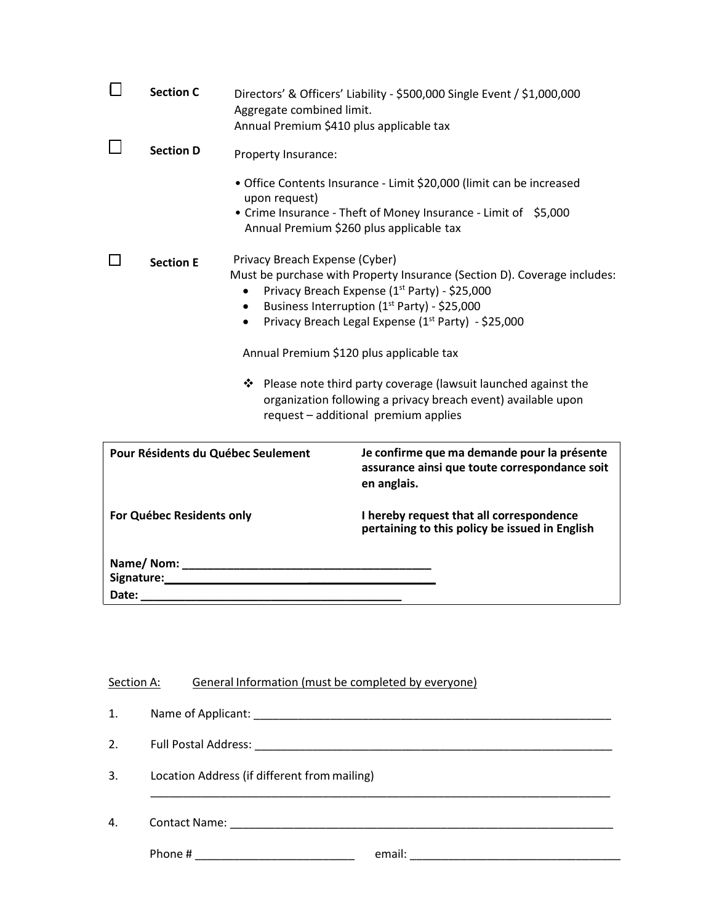| <b>Section C</b>                   |                                                                       | Directors' & Officers' Liability - \$500,000 Single Event / \$1,000,000                                                                                                                                                                      |
|------------------------------------|-----------------------------------------------------------------------|----------------------------------------------------------------------------------------------------------------------------------------------------------------------------------------------------------------------------------------------|
|                                    | Aggregate combined limit.<br>Annual Premium \$410 plus applicable tax |                                                                                                                                                                                                                                              |
| <b>Section D</b>                   | Property Insurance:                                                   |                                                                                                                                                                                                                                              |
|                                    | upon request)                                                         | • Office Contents Insurance - Limit \$20,000 (limit can be increased                                                                                                                                                                         |
|                                    | Annual Premium \$260 plus applicable tax                              | • Crime Insurance - Theft of Money Insurance - Limit of \$5,000                                                                                                                                                                              |
| <b>Section E</b>                   | Privacy Breach Expense (Cyber)<br>$\bullet$<br>$\bullet$<br>$\bullet$ | Must be purchase with Property Insurance (Section D). Coverage includes:<br>Privacy Breach Expense (1 <sup>st</sup> Party) - \$25,000<br>Business Interruption (1st Party) - \$25,000<br>Privacy Breach Legal Expense (1st Party) - \$25,000 |
|                                    | Annual Premium \$120 plus applicable tax                              |                                                                                                                                                                                                                                              |
|                                    |                                                                       | ❖ Please note third party coverage (lawsuit launched against the<br>organization following a privacy breach event) available upon<br>request - additional premium applies                                                                    |
| Pour Résidents du Québec Seulement |                                                                       | Je confirme que ma demande pour la présente<br>assurance ainsi que toute correspondance soit<br>en anglais.                                                                                                                                  |
| For Québec Residents only          |                                                                       | I hereby request that all correspondence<br>pertaining to this policy be issued in English                                                                                                                                                   |
|                                    |                                                                       |                                                                                                                                                                                                                                              |
| Date:                              | Signature: Management of the Signature:                               |                                                                                                                                                                                                                                              |

| Section A: | General Information (must be completed by everyone) |  |
|------------|-----------------------------------------------------|--|
| 1.         |                                                     |  |
| 2.         |                                                     |  |
| 3.         | Location Address (if different from mailing)        |  |
| 4.         |                                                     |  |
|            |                                                     |  |
|            |                                                     |  |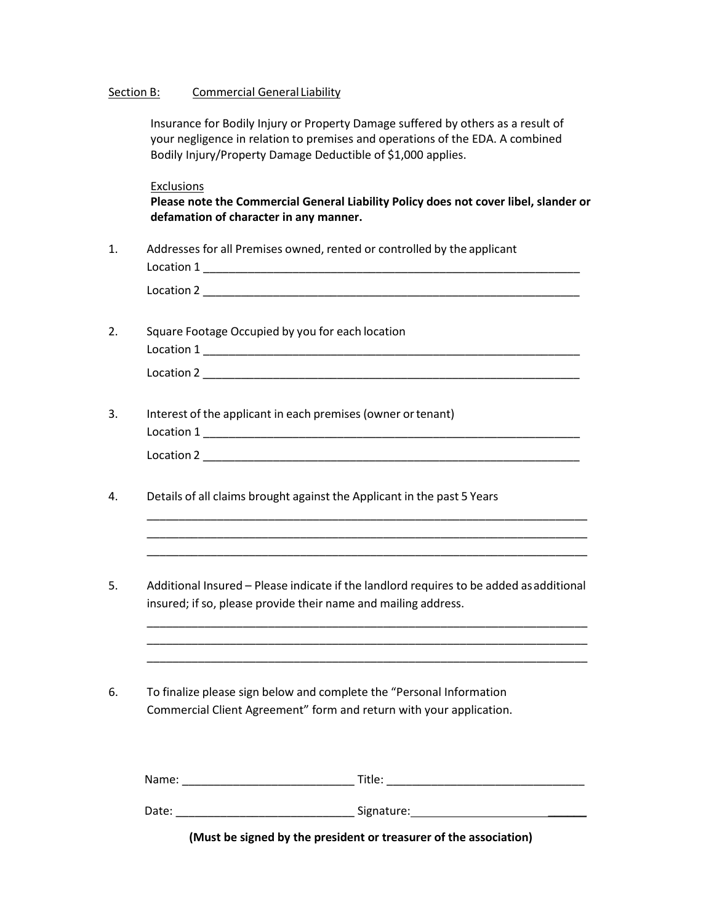### Section B: Commercial General Liability

Insurance for Bodily Injury or Property Damage suffered by others as a result of your negligence in relation to premises and operations of the EDA. A combined Bodily Injury/Property Damage Deductible of \$1,000 applies.

**Exclusions** 

**Please note the Commercial General Liability Policy does not cover libel, slander or defamation of character in any manner.**

1. Addresses for all Premises owned, rented or controlled by the applicant

Location 1 \_\_\_\_\_\_\_\_\_\_\_\_\_\_\_\_\_\_\_\_\_\_\_\_\_\_\_\_\_\_\_\_\_\_\_\_\_\_\_\_\_\_\_\_\_\_\_\_\_\_\_\_\_\_\_\_\_\_\_ Location 2 \_\_\_\_\_\_\_\_\_\_\_\_\_\_\_\_\_\_\_\_\_\_\_\_\_\_\_\_\_\_\_\_\_\_\_\_\_\_\_\_\_\_\_\_\_\_\_\_\_\_\_\_\_\_\_\_\_\_\_

- 2. Square Footage Occupied by you for each location Location 1 \_\_\_\_\_\_\_\_\_\_\_\_\_\_\_\_\_\_\_\_\_\_\_\_\_\_\_\_\_\_\_\_\_\_\_\_\_\_\_\_\_\_\_\_\_\_\_\_\_\_\_\_\_\_\_\_\_\_\_  $Location 2$
- 3. Interest of the applicant in each premises (owner ortenant) Location 1 \_\_\_\_\_\_\_\_\_\_\_\_\_\_\_\_\_\_\_\_\_\_\_\_\_\_\_\_\_\_\_\_\_\_\_\_\_\_\_\_\_\_\_\_\_\_\_\_\_\_\_\_\_\_\_\_\_\_\_ Location 2 \_\_\_\_\_\_\_\_\_\_\_\_\_\_\_\_\_\_\_\_\_\_\_\_\_\_\_\_\_\_\_\_\_\_\_\_\_\_\_\_\_\_\_\_\_\_\_\_\_\_\_\_\_\_\_\_\_\_\_
- 4. Details of all claims brought against the Applicant in the past 5 Years
- 5. Additional Insured Please indicate if the landlord requires to be added asadditional insured; if so, please provide their name and mailing address.

\_\_\_\_\_\_\_\_\_\_\_\_\_\_\_\_\_\_\_\_\_\_\_\_\_\_\_\_\_\_\_\_\_\_\_\_\_\_\_\_\_\_\_\_\_\_\_\_\_\_\_\_\_\_\_\_\_\_\_\_\_\_\_\_\_\_\_\_\_ \_\_\_\_\_\_\_\_\_\_\_\_\_\_\_\_\_\_\_\_\_\_\_\_\_\_\_\_\_\_\_\_\_\_\_\_\_\_\_\_\_\_\_\_\_\_\_\_\_\_\_\_\_\_\_\_\_\_\_\_\_\_\_\_\_\_\_\_\_ \_\_\_\_\_\_\_\_\_\_\_\_\_\_\_\_\_\_\_\_\_\_\_\_\_\_\_\_\_\_\_\_\_\_\_\_\_\_\_\_\_\_\_\_\_\_\_\_\_\_\_\_\_\_\_\_\_\_\_\_\_\_\_\_\_\_\_\_\_

\_\_\_\_\_\_\_\_\_\_\_\_\_\_\_\_\_\_\_\_\_\_\_\_\_\_\_\_\_\_\_\_\_\_\_\_\_\_\_\_\_\_\_\_\_\_\_\_\_\_\_\_\_\_\_\_\_\_\_\_\_\_\_\_\_\_\_\_\_ \_\_\_\_\_\_\_\_\_\_\_\_\_\_\_\_\_\_\_\_\_\_\_\_\_\_\_\_\_\_\_\_\_\_\_\_\_\_\_\_\_\_\_\_\_\_\_\_\_\_\_\_\_\_\_\_\_\_\_\_\_\_\_\_\_\_\_\_\_ \_\_\_\_\_\_\_\_\_\_\_\_\_\_\_\_\_\_\_\_\_\_\_\_\_\_\_\_\_\_\_\_\_\_\_\_\_\_\_\_\_\_\_\_\_\_\_\_\_\_\_\_\_\_\_\_\_\_\_\_\_\_\_\_\_\_\_\_\_

6. To finalize please sign below and complete the "Personal Information Commercial Client Agreement" form and return with your application.

Name: \_\_\_\_\_\_\_\_\_\_\_\_\_\_\_\_\_\_\_\_\_\_\_\_\_\_\_ Title: \_\_\_\_\_\_\_\_\_\_\_\_\_\_\_\_\_\_\_\_\_\_\_\_\_\_\_\_\_\_\_

Date: \_\_\_\_\_\_\_\_\_\_\_\_\_\_\_\_\_\_\_\_\_\_\_\_\_\_\_\_ Signature: \_\_\_\_\_\_

**(Must be signed by the president or treasurer of the association)**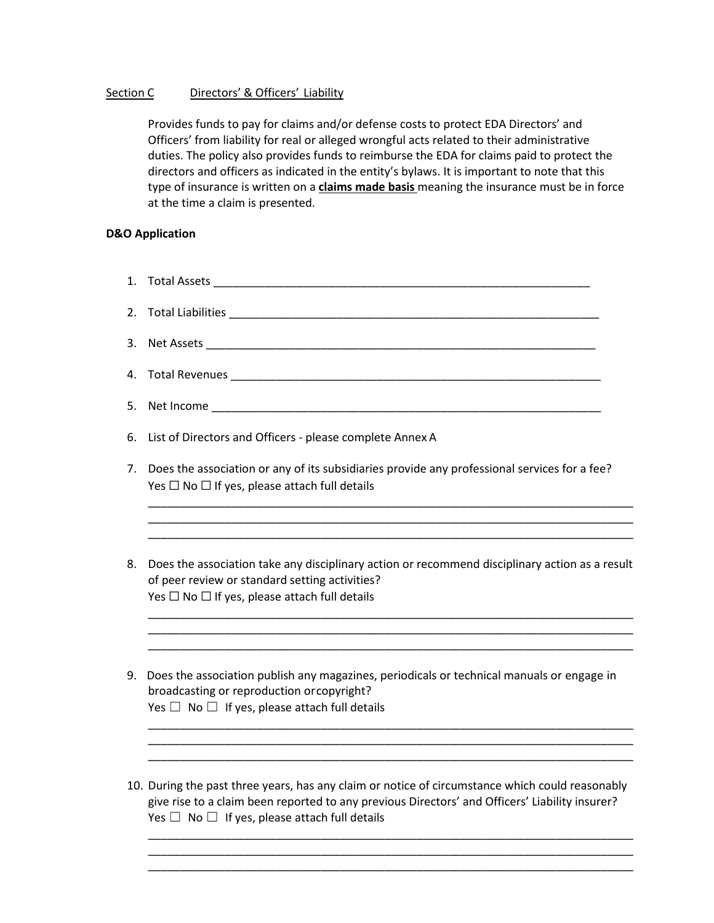# Section C Directors' & Officers' Liability

Provides funds to pay for claims and/or defense costs to protect EDA Directors' and Officers' from liability for real or alleged wrongful acts related to their administrative duties. The policy also provides funds to reimburse the EDA for claims paid to protect the directors and officers as indicated in the entity's bylaws. It is important to note that this type of insurance is written on a **claims made basis** meaning the insurance must be in force at the time a claim is presented.

### **D&O Application**

- 1. Total Assets \_\_\_\_\_\_\_\_\_\_\_\_\_\_\_\_\_\_\_\_\_\_\_\_\_\_\_\_\_\_\_\_\_\_\_\_\_\_\_\_\_\_\_\_\_\_\_\_\_\_\_\_\_\_\_\_\_\_\_
- 2. Total Liabilities \_\_\_\_\_\_\_\_\_\_\_\_\_\_\_\_\_\_\_\_\_\_\_\_\_\_\_\_\_\_\_\_\_\_\_\_\_\_\_\_\_\_\_\_\_\_\_\_\_\_\_\_\_\_\_\_\_\_
- 3. Net Assets \_\_\_\_\_\_\_\_\_\_\_\_\_\_\_\_\_\_\_\_\_\_\_\_\_\_\_\_\_\_\_\_\_\_\_\_\_\_\_\_\_\_\_\_\_\_\_\_\_\_\_\_\_\_\_\_\_\_\_\_\_
- 4. Total Revenues \_\_\_\_\_\_\_\_\_\_\_\_\_\_\_\_\_\_\_\_\_\_\_\_\_\_\_\_\_\_\_\_\_\_\_\_\_\_\_\_\_\_\_\_\_\_\_\_\_\_\_\_\_\_\_\_\_\_
- 5. Net Income
- 6. List of Directors and Officers please complete Annex A
- 7. Does the association or any of its subsidiaries provide any professional services for a fee? Yes  $\Box$  No  $\Box$  If yes, please attach full details

\_\_\_\_\_\_\_\_\_\_\_\_\_\_\_\_\_\_\_\_\_\_\_\_\_\_\_\_\_\_\_\_\_\_\_\_\_\_\_\_\_\_\_\_\_\_\_\_\_\_\_\_\_\_\_\_\_\_\_\_\_\_\_\_\_\_\_\_\_\_\_\_\_\_\_\_ \_\_\_\_\_\_\_\_\_\_\_\_\_\_\_\_\_\_\_\_\_\_\_\_\_\_\_\_\_\_\_\_\_\_\_\_\_\_\_\_\_\_\_\_\_\_\_\_\_\_\_\_\_\_\_\_\_\_\_\_\_\_\_\_\_\_\_\_\_\_\_\_\_\_\_\_ \_\_\_\_\_\_\_\_\_\_\_\_\_\_\_\_\_\_\_\_\_\_\_\_\_\_\_\_\_\_\_\_\_\_\_\_\_\_\_\_\_\_\_\_\_\_\_\_\_\_\_\_\_\_\_\_\_\_\_\_\_\_\_\_\_\_\_\_\_\_\_\_\_\_\_\_

8. Does the association take any disciplinary action or recommend disciplinary action as a result of peer review or standard setting activities? Yes  $\Box$  No  $\Box$  If yes, please attach full details

\_\_\_\_\_\_\_\_\_\_\_\_\_\_\_\_\_\_\_\_\_\_\_\_\_\_\_\_\_\_\_\_\_\_\_\_\_\_\_\_\_\_\_\_\_\_\_\_\_\_\_\_\_\_\_\_\_\_\_\_\_\_\_\_\_\_\_\_\_\_\_\_\_\_\_\_ \_\_\_\_\_\_\_\_\_\_\_\_\_\_\_\_\_\_\_\_\_\_\_\_\_\_\_\_\_\_\_\_\_\_\_\_\_\_\_\_\_\_\_\_\_\_\_\_\_\_\_\_\_\_\_\_\_\_\_\_\_\_\_\_\_\_\_\_\_\_\_\_\_\_\_\_ \_\_\_\_\_\_\_\_\_\_\_\_\_\_\_\_\_\_\_\_\_\_\_\_\_\_\_\_\_\_\_\_\_\_\_\_\_\_\_\_\_\_\_\_\_\_\_\_\_\_\_\_\_\_\_\_\_\_\_\_\_\_\_\_\_\_\_\_\_\_\_\_\_\_\_\_

\_\_\_\_\_\_\_\_\_\_\_\_\_\_\_\_\_\_\_\_\_\_\_\_\_\_\_\_\_\_\_\_\_\_\_\_\_\_\_\_\_\_\_\_\_\_\_\_\_\_\_\_\_\_\_\_\_\_\_\_\_\_\_\_\_\_\_\_\_\_\_\_\_\_\_\_ \_\_\_\_\_\_\_\_\_\_\_\_\_\_\_\_\_\_\_\_\_\_\_\_\_\_\_\_\_\_\_\_\_\_\_\_\_\_\_\_\_\_\_\_\_\_\_\_\_\_\_\_\_\_\_\_\_\_\_\_\_\_\_\_\_\_\_\_\_\_\_\_\_\_\_\_ \_\_\_\_\_\_\_\_\_\_\_\_\_\_\_\_\_\_\_\_\_\_\_\_\_\_\_\_\_\_\_\_\_\_\_\_\_\_\_\_\_\_\_\_\_\_\_\_\_\_\_\_\_\_\_\_\_\_\_\_\_\_\_\_\_\_\_\_\_\_\_\_\_\_\_\_

- 9. Does the association publish any magazines, periodicals or technical manuals or engage in broadcasting or reproduction orcopyright? Yes  $\Box$  No  $\Box$  If yes, please attach full details
- 10. During the past three years, has any claim or notice of circumstance which could reasonably give rise to a claim been reported to any previous Directors' and Officers' Liability insurer? Yes  $\Box$  No  $\Box$  If yes, please attach full details

\_\_\_\_\_\_\_\_\_\_\_\_\_\_\_\_\_\_\_\_\_\_\_\_\_\_\_\_\_\_\_\_\_\_\_\_\_\_\_\_\_\_\_\_\_\_\_\_\_\_\_\_\_\_\_\_\_\_\_\_\_\_\_\_\_\_\_\_\_\_\_\_\_\_\_\_ \_\_\_\_\_\_\_\_\_\_\_\_\_\_\_\_\_\_\_\_\_\_\_\_\_\_\_\_\_\_\_\_\_\_\_\_\_\_\_\_\_\_\_\_\_\_\_\_\_\_\_\_\_\_\_\_\_\_\_\_\_\_\_\_\_\_\_\_\_\_\_\_\_\_\_\_ \_\_\_\_\_\_\_\_\_\_\_\_\_\_\_\_\_\_\_\_\_\_\_\_\_\_\_\_\_\_\_\_\_\_\_\_\_\_\_\_\_\_\_\_\_\_\_\_\_\_\_\_\_\_\_\_\_\_\_\_\_\_\_\_\_\_\_\_\_\_\_\_\_\_\_\_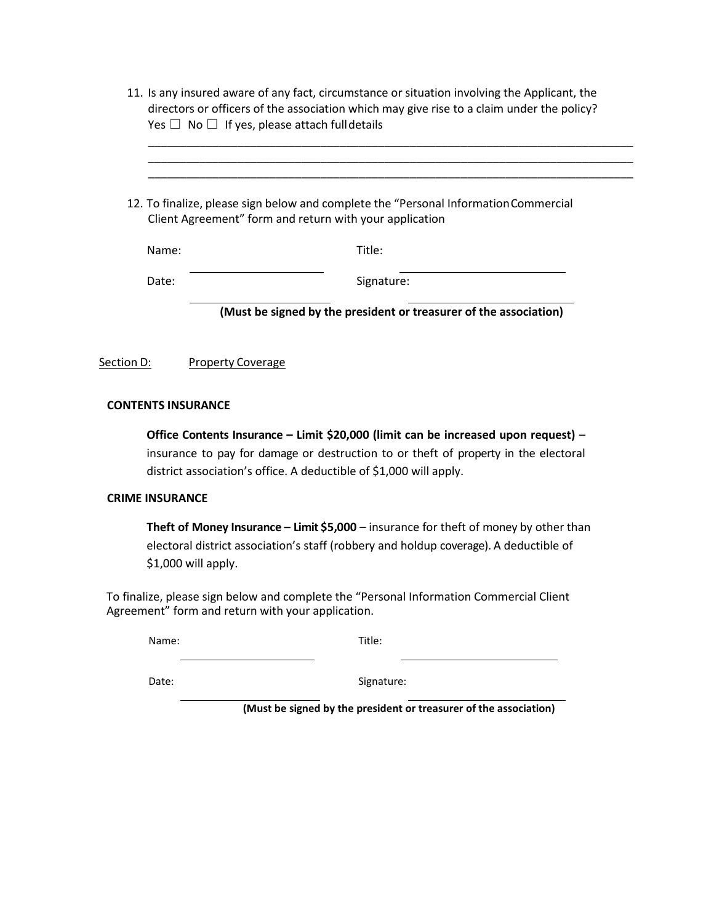| Yes $\Box$ No $\Box$ If yes, please attach full details |                                                                                                                                                 |
|---------------------------------------------------------|-------------------------------------------------------------------------------------------------------------------------------------------------|
|                                                         | 12. To finalize, please sign below and complete the "Personal Information Commercial<br>Client Agreement" form and return with your application |
| Name:                                                   | Title:                                                                                                                                          |
| Date:                                                   | Signature:                                                                                                                                      |
|                                                         | (Must be signed by the president or treasurer of the association)                                                                               |

#### **CONTENTS INSURANCE**

**Office Contents Insurance – Limit \$20,000 (limit can be increased upon request)** – insurance to pay for damage or destruction to or theft of property in the electoral district association's office. A deductible of \$1,000 will apply.

#### **CRIME INSURANCE**

**Theft of Money Insurance – Limit \$5,000** – insurance for theft of money by other than electoral district association's staff (robbery and holdup coverage). A deductible of \$1,000 will apply.

To finalize, please sign below and complete the "Personal Information Commercial Client Agreement" form and return with your application.

| Name: | Title: |
|-------|--------|
|       |        |

Date: Signature:

**(Must be signed by the president or treasurer of the association)**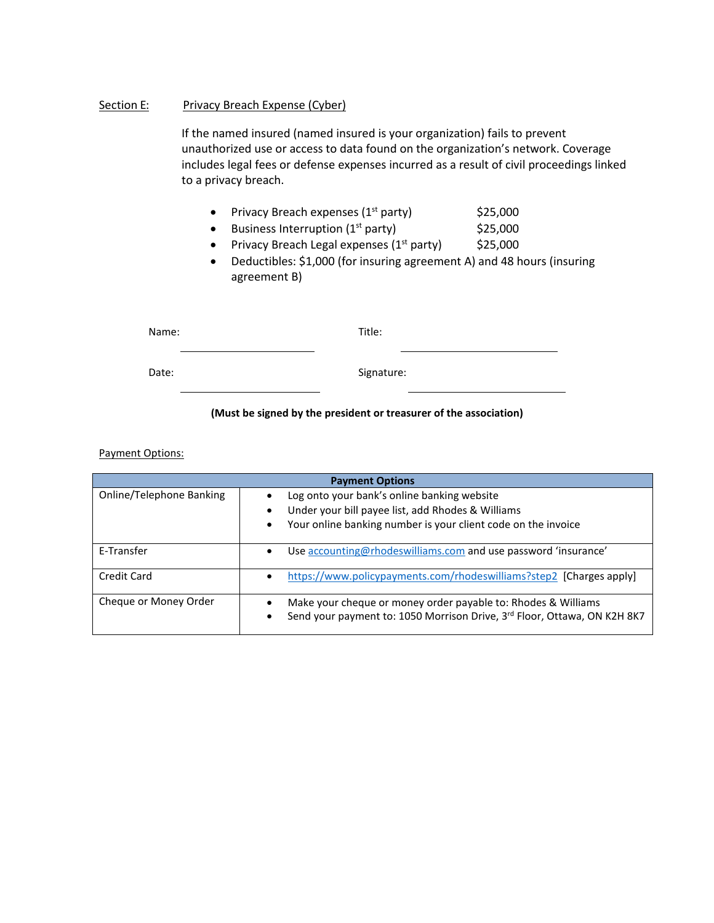## Section E: Privacy Breach Expense (Cyber)

If the named insured (named insured is your organization) fails to prevent unauthorized use or access to data found on the organization's network. Coverage includes legal fees or defense expenses incurred as a result of civil proceedings linked to a privacy breach.

- Privacy Breach expenses  $(1<sup>st</sup>$  party)  $$25,000$
- Business Interruption  $(1<sup>st</sup>$  party)  $$25,000$
- Privacy Breach Legal expenses  $(1<sup>st</sup>$  party)  $\qquad$  \$25,000
- Deductibles: \$1,000 (for insuring agreement A) and 48 hours (insuring agreement B)

| Name: | Title:     |
|-------|------------|
| Date: | Signature: |

# **(Must be signed by the president or treasurer of the association)**

Payment Options:

| <b>Payment Options</b>   |                                                                                                                                                |  |  |
|--------------------------|------------------------------------------------------------------------------------------------------------------------------------------------|--|--|
| Online/Telephone Banking | Log onto your bank's online banking website<br>Under your bill payee list, add Rhodes & Williams                                               |  |  |
|                          | Your online banking number is your client code on the invoice<br>$\bullet$                                                                     |  |  |
| E-Transfer               | Use accounting@rhodeswilliams.com and use password 'insurance'<br>$\bullet$                                                                    |  |  |
| Credit Card              | https://www.policypayments.com/rhodeswilliams?step2 [Charges apply]<br>$\bullet$                                                               |  |  |
| Cheque or Money Order    | Make your cheque or money order payable to: Rhodes & Williams<br>Send your payment to: 1050 Morrison Drive, 3rd Floor, Ottawa, ON K2H 8K7<br>٠ |  |  |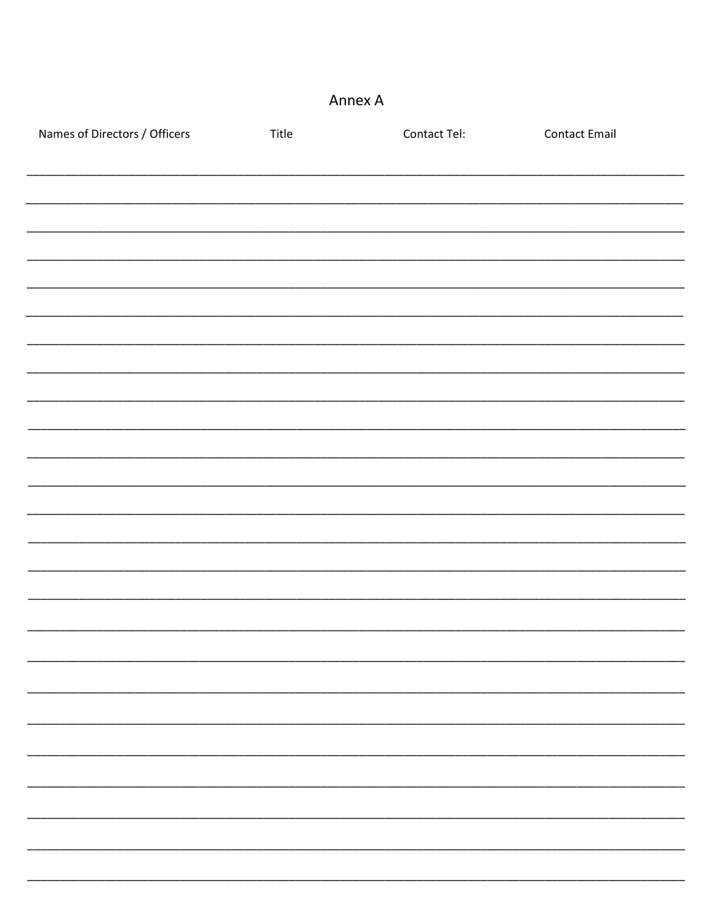# Annex A

| Names of Directors / Officers | Title | Contact Tel: | <b>Contact Email</b> |  |
|-------------------------------|-------|--------------|----------------------|--|
|                               |       |              |                      |  |
|                               |       |              |                      |  |
|                               |       |              |                      |  |
|                               |       |              |                      |  |
|                               |       |              |                      |  |
|                               |       |              |                      |  |
|                               |       |              |                      |  |
|                               |       |              |                      |  |
|                               |       |              |                      |  |
|                               |       |              |                      |  |
|                               |       |              |                      |  |
|                               |       |              |                      |  |
|                               |       |              |                      |  |
|                               |       |              |                      |  |
|                               |       |              |                      |  |
|                               |       |              |                      |  |
|                               |       |              |                      |  |
|                               |       |              |                      |  |
|                               |       |              |                      |  |
|                               |       |              |                      |  |
|                               |       |              |                      |  |
|                               |       |              |                      |  |
|                               |       |              |                      |  |
|                               |       |              |                      |  |
|                               |       |              |                      |  |
|                               |       |              |                      |  |
|                               |       |              |                      |  |
|                               |       |              |                      |  |
|                               |       |              |                      |  |
|                               |       |              |                      |  |
|                               |       |              |                      |  |